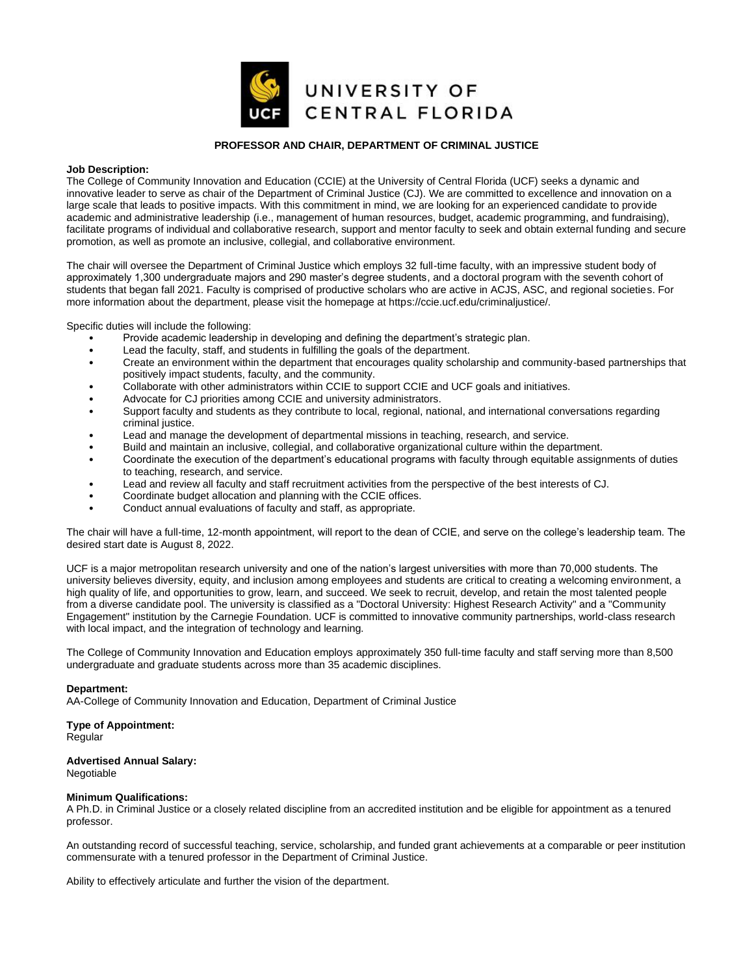

## **PROFESSOR AND CHAIR, DEPARTMENT OF CRIMINAL JUSTICE**

## **Job Description:**

The College of Community Innovation and Education (CCIE) at the University of Central Florida (UCF) seeks a dynamic and innovative leader to serve as chair of the Department of Criminal Justice (CJ). We are committed to excellence and innovation on a large scale that leads to positive impacts. With this commitment in mind, we are looking for an experienced candidate to provide academic and administrative leadership (i.e., management of human resources, budget, academic programming, and fundraising), facilitate programs of individual and collaborative research, support and mentor faculty to seek and obtain external funding and secure promotion, as well as promote an inclusive, collegial, and collaborative environment.

The chair will oversee the Department of Criminal Justice which employs 32 full-time faculty, with an impressive student body of approximately 1,300 undergraduate majors and 290 master's degree students, and a doctoral program with the seventh cohort of students that began fall 2021. Faculty is comprised of productive scholars who are active in ACJS, ASC, and regional societies. For more information about the department, please visit the homepage at https://ccie.ucf.edu/criminaljustice/.

Specific duties will include the following:

- Provide academic leadership in developing and defining the department's strategic plan.
- Lead the faculty, staff, and students in fulfilling the goals of the department.
- Create an environment within the department that encourages quality scholarship and community-based partnerships that positively impact students, faculty, and the community.
- Collaborate with other administrators within CCIE to support CCIE and UCF goals and initiatives.
- Advocate for CJ priorities among CCIE and university administrators.
- Support faculty and students as they contribute to local, regional, national, and international conversations regarding criminal justice.
- Lead and manage the development of departmental missions in teaching, research, and service.
- Build and maintain an inclusive, collegial, and collaborative organizational culture within the department.
- Coordinate the execution of the department's educational programs with faculty through equitable assignments of duties to teaching, research, and service.
- Lead and review all faculty and staff recruitment activities from the perspective of the best interests of CJ.
- Coordinate budget allocation and planning with the CCIE offices.
- Conduct annual evaluations of faculty and staff, as appropriate.

The chair will have a full-time, 12-month appointment, will report to the dean of CCIE, and serve on the college's leadership team. The desired start date is August 8, 2022.

UCF is a major metropolitan research university and one of the nation's largest universities with more than 70,000 students. The university believes diversity, equity, and inclusion among employees and students are critical to creating a welcoming environment, a high quality of life, and opportunities to grow, learn, and succeed. We seek to recruit, develop, and retain the most talented people from a diverse candidate pool. The university is classified as a "Doctoral University: Highest Research Activity" and a "Community Engagement" institution by the Carnegie Foundation. UCF is committed to innovative community partnerships, world-class research with local impact, and the integration of technology and learning.

The College of Community Innovation and Education employs approximately 350 full‐time faculty and staff serving more than 8,500 undergraduate and graduate students across more than 35 academic disciplines.

# **Department:**

AA-College of Community Innovation and Education, Department of Criminal Justice

# **Type of Appointment:**

Regular

## **Advertised Annual Salary:**

Negotiable

## **Minimum Qualifications:**

A Ph.D. in Criminal Justice or a closely related discipline from an accredited institution and be eligible for appointment as a tenured professor.

An outstanding record of successful teaching, service, scholarship, and funded grant achievements at a comparable or peer institution commensurate with a tenured professor in the Department of Criminal Justice.

Ability to effectively articulate and further the vision of the department.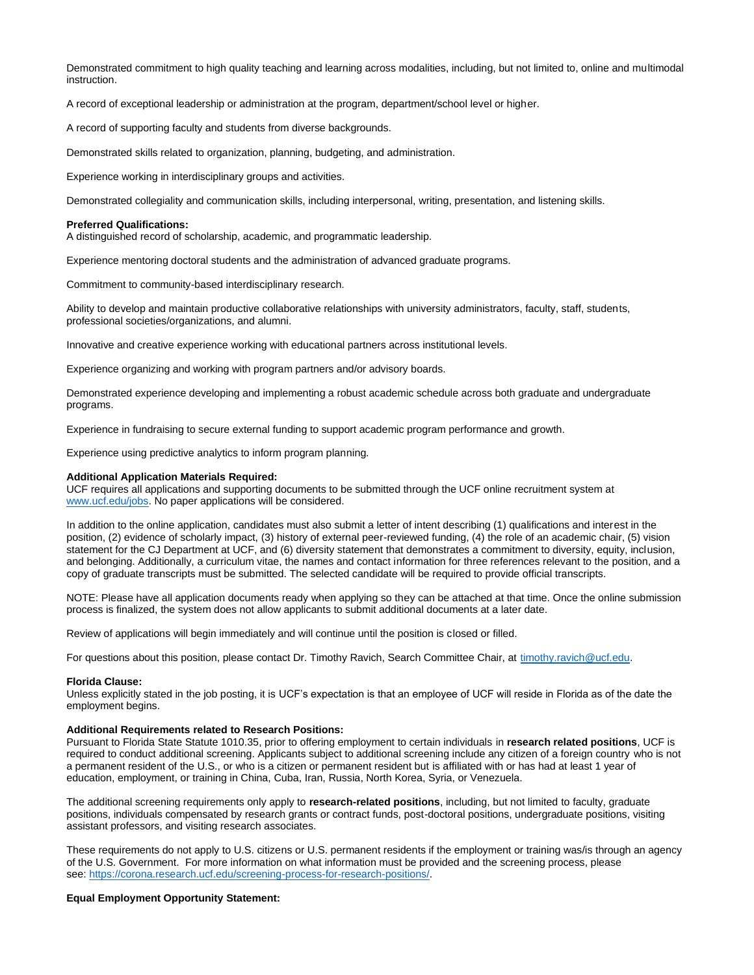Demonstrated commitment to high quality teaching and learning across modalities, including, but not limited to, online and multimodal instruction.

A record of exceptional leadership or administration at the program, department/school level or higher.

A record of supporting faculty and students from diverse backgrounds.

Demonstrated skills related to organization, planning, budgeting, and administration.

Experience working in interdisciplinary groups and activities.

Demonstrated collegiality and communication skills, including interpersonal, writing, presentation, and listening skills.

#### **Preferred Qualifications:**

A distinguished record of scholarship, academic, and programmatic leadership.

Experience mentoring doctoral students and the administration of advanced graduate programs.

Commitment to community-based interdisciplinary research.

Ability to develop and maintain productive collaborative relationships with university administrators, faculty, staff, students, professional societies/organizations, and alumni.

Innovative and creative experience working with educational partners across institutional levels.

Experience organizing and working with program partners and/or advisory boards.

Demonstrated experience developing and implementing a robust academic schedule across both graduate and undergraduate programs.

Experience in fundraising to secure external funding to support academic program performance and growth.

Experience using predictive analytics to inform program planning.

### **Additional Application Materials Required:**

UCF requires all applications and supporting documents to be submitted through the UCF online recruitment system at [www.ucf.edu/jobs.](http://www.ucf.edu/jobs) No paper applications will be considered.

In addition to the online application, candidates must also submit a letter of intent describing (1) qualifications and interest in the position, (2) evidence of scholarly impact, (3) history of external peer-reviewed funding, (4) the role of an academic chair, (5) vision statement for the CJ Department at UCF, and (6) diversity statement that demonstrates a commitment to diversity, equity, inclusion, and belonging. Additionally, a curriculum vitae, the names and contact information for three references relevant to the position, and a copy of graduate transcripts must be submitted. The selected candidate will be required to provide official transcripts.

NOTE: Please have all application documents ready when applying so they can be attached at that time. Once the online submission process is finalized, the system does not allow applicants to submit additional documents at a later date.

Review of applications will begin immediately and will continue until the position is closed or filled.

For questions about this position, please contact Dr. Timothy Ravich, Search Committee Chair, at [timothy.ravich@ucf.edu.](mailto:timothy.ravich@ucf.edu)

## **Florida Clause:**

Unless explicitly stated in the job posting, it is UCF's expectation is that an employee of UCF will reside in Florida as of the date the employment begins.

## **Additional Requirements related to Research Positions:**

Pursuant to Florida State Statute 1010.35, prior to offering employment to certain individuals in **research related positions**, UCF is required to conduct additional screening. Applicants subject to additional screening include any citizen of a foreign country who is not a permanent resident of the U.S., or who is a citizen or permanent resident but is affiliated with or has had at least 1 year of education, employment, or training in China, Cuba, Iran, Russia, North Korea, Syria, or Venezuela.

The additional screening requirements only apply to **research-related positions**, including, but not limited to faculty, graduate positions, individuals compensated by research grants or contract funds, post-doctoral positions, undergraduate positions, visiting assistant professors, and visiting research associates.

These requirements do not apply to U.S. citizens or U.S. permanent residents if the employment or training was/is through an agency of the U.S. Government. For more information on what information must be provided and the screening process, please see: [https://corona.research.ucf.edu/screening-process-for-research-positions/.](https://corona.research.ucf.edu/screening-process-for-research-positions/)

#### **Equal Employment Opportunity Statement:**